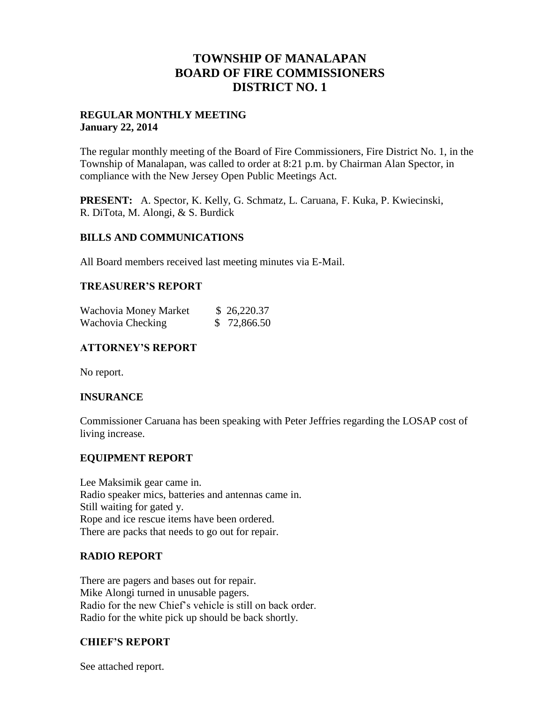# **TOWNSHIP OF MANALAPAN BOARD OF FIRE COMMISSIONERS DISTRICT NO. 1**

## **REGULAR MONTHLY MEETING January 22, 2014**

The regular monthly meeting of the Board of Fire Commissioners, Fire District No. 1, in the Township of Manalapan, was called to order at 8:21 p.m. by Chairman Alan Spector, in compliance with the New Jersey Open Public Meetings Act.

**PRESENT:** A. Spector, K. Kelly, G. Schmatz, L. Caruana, F. Kuka, P. Kwiecinski, R. DiTota, M. Alongi, & S. Burdick

### **BILLS AND COMMUNICATIONS**

All Board members received last meeting minutes via E-Mail.

### **TREASURER'S REPORT**

| Wachovia Money Market | \$26,220.37 |
|-----------------------|-------------|
| Wachovia Checking     | \$72,866.50 |

## **ATTORNEY'S REPORT**

No report.

### **INSURANCE**

Commissioner Caruana has been speaking with Peter Jeffries regarding the LOSAP cost of living increase.

### **EQUIPMENT REPORT**

Lee Maksimik gear came in. Radio speaker mics, batteries and antennas came in. Still waiting for gated y. Rope and ice rescue items have been ordered. There are packs that needs to go out for repair.

# **RADIO REPORT**

There are pagers and bases out for repair. Mike Alongi turned in unusable pagers. Radio for the new Chief's vehicle is still on back order. Radio for the white pick up should be back shortly.

# **CHIEF'S REPORT**

See attached report.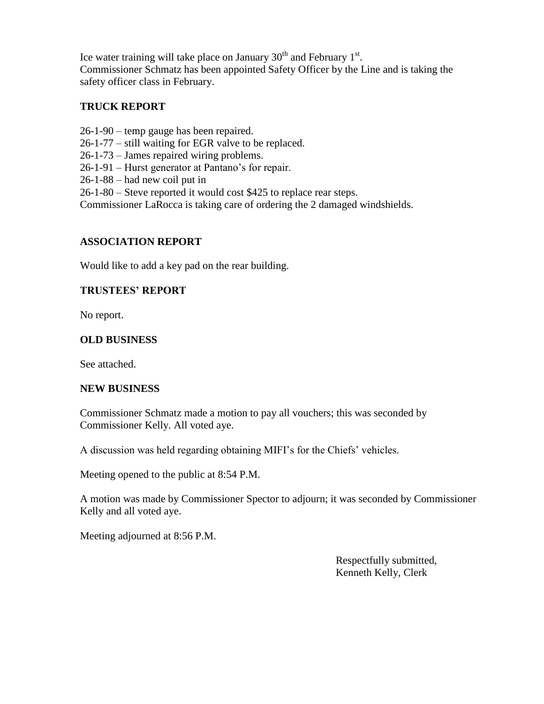Ice water training will take place on January  $30<sup>th</sup>$  and February  $1<sup>st</sup>$ . Commissioner Schmatz has been appointed Safety Officer by the Line and is taking the safety officer class in February.

## **TRUCK REPORT**

- 26-1-90 temp gauge has been repaired.
- 26-1-77 still waiting for EGR valve to be replaced.
- 26-1-73 James repaired wiring problems.
- 26-1-91 Hurst generator at Pantano's for repair.
- 26-1-88 had new coil put in

26-1-80 – Steve reported it would cost \$425 to replace rear steps.

Commissioner LaRocca is taking care of ordering the 2 damaged windshields.

## **ASSOCIATION REPORT**

Would like to add a key pad on the rear building.

## **TRUSTEES' REPORT**

No report.

## **OLD BUSINESS**

See attached.

### **NEW BUSINESS**

Commissioner Schmatz made a motion to pay all vouchers; this was seconded by Commissioner Kelly. All voted aye.

A discussion was held regarding obtaining MIFI's for the Chiefs' vehicles.

Meeting opened to the public at 8:54 P.M.

A motion was made by Commissioner Spector to adjourn; it was seconded by Commissioner Kelly and all voted aye.

Meeting adjourned at 8:56 P.M.

 Respectfully submitted, Kenneth Kelly, Clerk